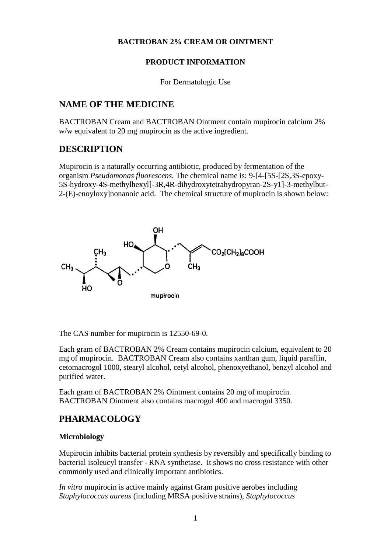### **BACTROBAN 2% CREAM OR OINTMENT**

### **PRODUCT INFORMATION**

For Dermatologic Use

### **NAME OF THE MEDICINE**

BACTROBAN Cream and BACTROBAN Ointment contain mupirocin calcium 2% w/w equivalent to 20 mg mupirocin as the active ingredient.

### **DESCRIPTION**

Mupirocin is a naturally occurring antibiotic, produced by fermentation of the organism *Pseudomonas fluorescens*. The chemical name is: 9-[4-[5S-[2S,3S-epoxy-5S-hydroxy-4S-methylhexyl]-3R,4R-dihydroxytetrahydropyran-2S-y1]-3-methylbut-2-(E)-enoyloxy]nonanoic acid. The chemical structure of mupirocin is shown below:



The CAS number for mupirocin is 12550-69-0.

Each gram of BACTROBAN 2% Cream contains mupirocin calcium, equivalent to 20 mg of mupirocin. BACTROBAN Cream also contains xanthan gum, liquid paraffin, cetomacrogol 1000, stearyl alcohol, cetyl alcohol, phenoxyethanol, benzyl alcohol and purified water.

Each gram of BACTROBAN 2% Ointment contains 20 mg of mupirocin. BACTROBAN Ointment also contains macrogol 400 and macrogol 3350.

# **PHARMACOLOGY**

### **Microbiology**

Mupirocin inhibits bacterial protein synthesis by reversibly and specifically binding to bacterial isoleucyl transfer - RNA synthetase. It shows no cross resistance with other commonly used and clinically important antibiotics.

*In vitro* mupirocin is active mainly against Gram positive aerobes including *Staphylococcus aureus* (including MRSA positive strains), *Staphylococcus*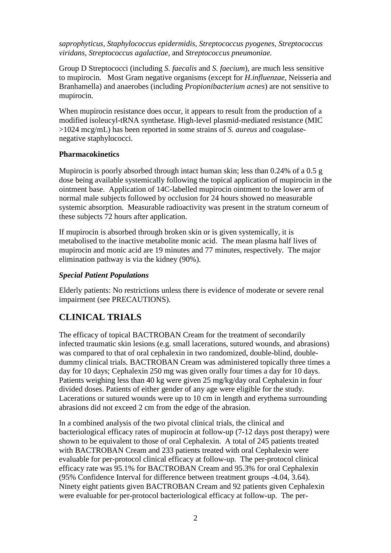*saprophyticus, Staphylococcus epidermidis, Streptococcus pyogenes, Streptococcus viridans, Streptococcus agalactiae,* and *Streptococcus pneumoniae.*

Group D Streptococci (including *S. faecalis* and *S. faecium*), are much less sensitive to mupirocin. Most Gram negative organisms (except for *H.influenzae,* Neisseria and Branhamella) and anaerobes (including *Propionibacterium acnes*) are not sensitive to mupirocin.

When mupirocin resistance does occur, it appears to result from the production of a modified isoleucyl-tRNA synthetase. High-level plasmid-mediated resistance (MIC >1024 mcg/mL) has been reported in some strains of *S. aureus* and coagulasenegative staphylococci.

#### **Pharmacokinetics**

Mupirocin is poorly absorbed through intact human skin; less than 0.24% of a 0.5 g dose being available systemically following the topical application of mupirocin in the ointment base. Application of 14C-labelled mupirocin ointment to the lower arm of normal male subjects followed by occlusion for 24 hours showed no measurable systemic absorption. Measurable radioactivity was present in the stratum corneum of these subjects 72 hours after application.

If mupirocin is absorbed through broken skin or is given systemically, it is metabolised to the inactive metabolite monic acid. The mean plasma half lives of mupirocin and monic acid are 19 minutes and 77 minutes, respectively. The major elimination pathway is via the kidney (90%).

### *Special Patient Populations*

Elderly patients: No restrictions unless there is evidence of moderate or severe renal impairment (see PRECAUTIONS).

## **CLINICAL TRIALS**

The efficacy of topical BACTROBAN Cream for the treatment of secondarily infected traumatic skin lesions (e.g. small lacerations, sutured wounds, and abrasions) was compared to that of oral cephalexin in two randomized, double-blind, doubledummy clinical trials. BACTROBAN Cream was administered topically three times a day for 10 days; Cephalexin 250 mg was given orally four times a day for 10 days. Patients weighing less than 40 kg were given 25 mg/kg/day oral Cephalexin in four divided doses. Patients of either gender of any age were eligible for the study. Lacerations or sutured wounds were up to 10 cm in length and erythema surrounding abrasions did not exceed 2 cm from the edge of the abrasion.

In a combined analysis of the two pivotal clinical trials, the clinical and bacteriological efficacy rates of mupirocin at follow-up (7-12 days post therapy) were shown to be equivalent to those of oral Cephalexin. A total of 245 patients treated with BACTROBAN Cream and 233 patients treated with oral Cephalexin were evaluable for per-protocol clinical efficacy at follow-up. The per-protocol clinical efficacy rate was 95.1% for BACTROBAN Cream and 95.3% for oral Cephalexin (95% Confidence Interval for difference between treatment groups -4.04, 3.64). Ninety eight patients given BACTROBAN Cream and 92 patients given Cephalexin were evaluable for per-protocol bacteriological efficacy at follow-up. The per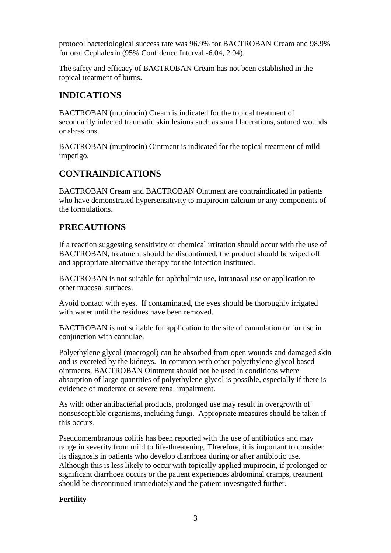protocol bacteriological success rate was 96.9% for BACTROBAN Cream and 98.9% for oral Cephalexin (95% Confidence Interval -6.04, 2.04).

The safety and efficacy of BACTROBAN Cream has not been established in the topical treatment of burns.

# **INDICATIONS**

BACTROBAN (mupirocin) Cream is indicated for the topical treatment of secondarily infected traumatic skin lesions such as small lacerations, sutured wounds or abrasions.

BACTROBAN (mupirocin) Ointment is indicated for the topical treatment of mild impetigo.

# **CONTRAINDICATIONS**

BACTROBAN Cream and BACTROBAN Ointment are contraindicated in patients who have demonstrated hypersensitivity to mupirocin calcium or any components of the formulations.

# **PRECAUTIONS**

If a reaction suggesting sensitivity or chemical irritation should occur with the use of BACTROBAN, treatment should be discontinued, the product should be wiped off and appropriate alternative therapy for the infection instituted.

BACTROBAN is not suitable for ophthalmic use, intranasal use or application to other mucosal surfaces.

Avoid contact with eyes. If contaminated, the eyes should be thoroughly irrigated with water until the residues have been removed.

BACTROBAN is not suitable for application to the site of cannulation or for use in conjunction with cannulae.

Polyethylene glycol (macrogol) can be absorbed from open wounds and damaged skin and is excreted by the kidneys. In common with other polyethylene glycol based ointments, BACTROBAN Ointment should not be used in conditions where absorption of large quantities of polyethylene glycol is possible, especially if there is evidence of moderate or severe renal impairment.

As with other antibacterial products, prolonged use may result in overgrowth of nonsusceptible organisms, including fungi. Appropriate measures should be taken if this occurs.

Pseudomembranous colitis has been reported with the use of antibiotics and may range in severity from mild to life-threatening. Therefore, it is important to consider its diagnosis in patients who develop diarrhoea during or after antibiotic use. Although this is less likely to occur with topically applied mupirocin, if prolonged or significant diarrhoea occurs or the patient experiences abdominal cramps, treatment should be discontinued immediately and the patient investigated further.

### **Fertility**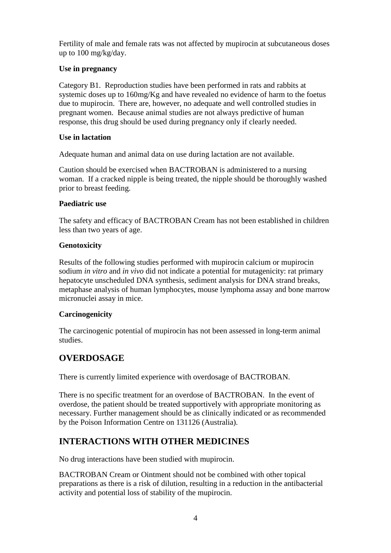Fertility of male and female rats was not affected by mupirocin at subcutaneous doses up to 100 mg/kg/day.

### **Use in pregnancy**

Category B1. Reproduction studies have been performed in rats and rabbits at systemic doses up to 160mg/Kg and have revealed no evidence of harm to the foetus due to mupirocin. There are, however, no adequate and well controlled studies in pregnant women. Because animal studies are not always predictive of human response, this drug should be used during pregnancy only if clearly needed.

#### **Use in lactation**

Adequate human and animal data on use during lactation are not available.

Caution should be exercised when BACTROBAN is administered to a nursing woman. If a cracked nipple is being treated, the nipple should be thoroughly washed prior to breast feeding.

### **Paediatric use**

The safety and efficacy of BACTROBAN Cream has not been established in children less than two years of age.

### **Genotoxicity**

Results of the following studies performed with mupirocin calcium or mupirocin sodium *in vitro* and *in vivo* did not indicate a potential for mutagenicity: rat primary hepatocyte unscheduled DNA synthesis, sediment analysis for DNA strand breaks, metaphase analysis of human lymphocytes, mouse lymphoma assay and bone marrow micronuclei assay in mice.

### **Carcinogenicity**

The carcinogenic potential of mupirocin has not been assessed in long-term animal studies.

## **OVERDOSAGE**

There is currently limited experience with overdosage of BACTROBAN.

There is no specific treatment for an overdose of BACTROBAN. In the event of overdose, the patient should be treated supportively with appropriate monitoring as necessary. Further management should be as clinically indicated or as recommended by the Poison Information Centre on 131126 (Australia).

## **INTERACTIONS WITH OTHER MEDICINES**

No drug interactions have been studied with mupirocin.

BACTROBAN Cream or Ointment should not be combined with other topical preparations as there is a risk of dilution, resulting in a reduction in the antibacterial activity and potential loss of stability of the mupirocin.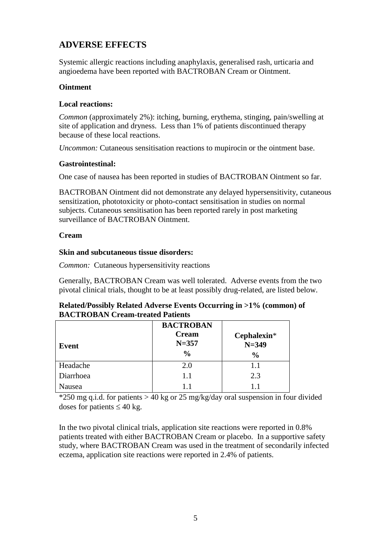## **ADVERSE EFFECTS**

Systemic allergic reactions including anaphylaxis, generalised rash, urticaria and angioedema have been reported with BACTROBAN Cream or Ointment.

### **Ointment**

#### **Local reactions:**

*Common* (approximately 2%): itching, burning, erythema, stinging, pain/swelling at site of application and dryness. Less than 1% of patients discontinued therapy because of these local reactions.

*Uncommon:* Cutaneous sensitisation reactions to mupirocin or the ointment base.

### **Gastrointestinal:**

One case of nausea has been reported in studies of BACTROBAN Ointment so far.

BACTROBAN Ointment did not demonstrate any delayed hypersensitivity, cutaneous sensitization, phototoxicity or photo-contact sensitisation in studies on normal subjects. Cutaneous sensitisation has been reported rarely in post marketing surveillance of BACTROBAN Ointment.

### **Cream**

### **Skin and subcutaneous tissue disorders:**

*Common:* Cutaneous hypersensitivity reactions

Generally, BACTROBAN Cream was well tolerated. Adverse events from the two pivotal clinical trials, thought to be at least possibly drug-related, are listed below.

| Related/Possibly Related Adverse Events Occurring in >1% (common) of |
|----------------------------------------------------------------------|
| <b>BACTROBAN Cream-treated Patients</b>                              |

| Event     | <b>BACTROBAN</b><br><b>Cream</b><br>$N = 357$<br>$\frac{0}{0}$ | Cephalexin*<br>$N = 349$<br>$\frac{0}{0}$ |
|-----------|----------------------------------------------------------------|-------------------------------------------|
| Headache  | 2.0                                                            | 1.1                                       |
| Diarrhoea | 1.1                                                            | 2.3                                       |
| Nausea    | 11                                                             | $1 \; 1$                                  |

 $*250$  mg q.i.d. for patients  $> 40$  kg or 25 mg/kg/day oral suspension in four divided doses for patients  $\leq 40$  kg.

In the two pivotal clinical trials, application site reactions were reported in 0.8% patients treated with either BACTROBAN Cream or placebo. In a supportive safety study, where BACTROBAN Cream was used in the treatment of secondarily infected eczema, application site reactions were reported in 2.4% of patients.